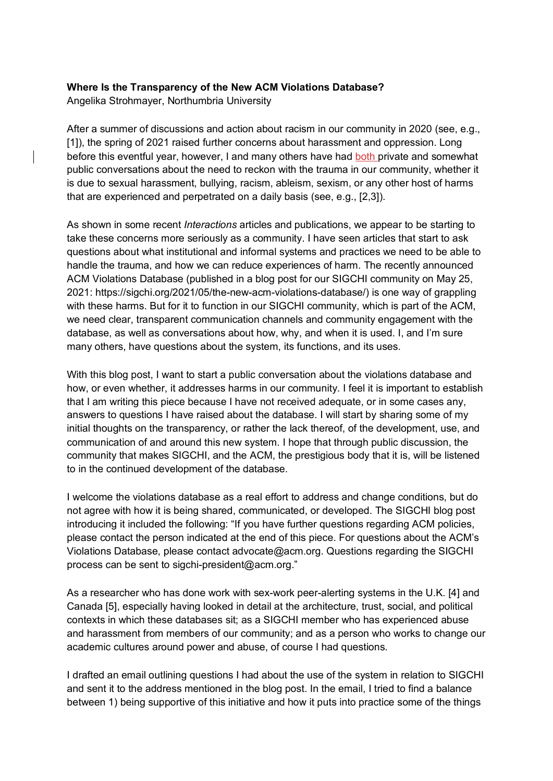## **Where Is the Transparency of the New ACM Violations Database?**

Angelika Strohmayer, Northumbria University

After a summer of discussions and action about racism in our community in 2020 (see, e.g., [1]), the spring of 2021 raised further concerns about harassment and oppression. Long before this eventful year, however, I and many others have had both private and somewhat public conversations about the need to reckon with the trauma in our community, whether it is due to sexual harassment, bullying, racism, ableism, sexism, or any other host of harms that are experienced and perpetrated on a daily basis (see, e.g., [2,3]).

As shown in some recent *Interactions* articles and publications, we appear to be starting to take these concerns more seriously as a community. I have seen articles that start to ask questions about what institutional and informal systems and practices we need to be able to handle the trauma, and how we can reduce experiences of harm. The recently announced ACM Violations Database (published in a blog post for our SIGCHI community on May 25, 2021: https://sigchi.org/2021/05/the-new-acm-violations-database/) is one way of grappling with these harms. But for it to function in our SIGCHI community, which is part of the ACM, we need clear, transparent communication channels and community engagement with the database, as well as conversations about how, why, and when it is used. I, and I'm sure many others, have questions about the system, its functions, and its uses.

With this blog post, I want to start a public conversation about the violations database and how, or even whether, it addresses harms in our community. I feel it is important to establish that I am writing this piece because I have not received adequate, or in some cases any, answers to questions I have raised about the database. I will start by sharing some of my initial thoughts on the transparency, or rather the lack thereof, of the development, use, and communication of and around this new system. I hope that through public discussion, the community that makes SIGCHI, and the ACM, the prestigious body that it is, will be listened to in the continued development of the database.

I welcome the violations database as a real effort to address and change conditions, but do not agree with how it is being shared, communicated, or developed. The SIGCHI blog post introducing it included the following: "If you have further questions regarding ACM policies, please contact the person indicated at the end of this piece. For questions about the ACM's Violations Database, please contact advocate@acm.org. Questions regarding the SIGCHI process can be sent to sigchi-president@acm.org."

As a researcher who has done work with sex-work peer-alerting systems in the U.K. [4] and Canada [5], especially having looked in detail at the architecture, trust, social, and political contexts in which these databases sit; as a SIGCHI member who has experienced abuse and harassment from members of our community; and as a person who works to change our academic cultures around power and abuse, of course I had questions.

I drafted an email outlining questions I had about the use of the system in relation to SIGCHI and sent it to the address mentioned in the blog post. In the email, I tried to find a balance between 1) being supportive of this initiative and how it puts into practice some of the things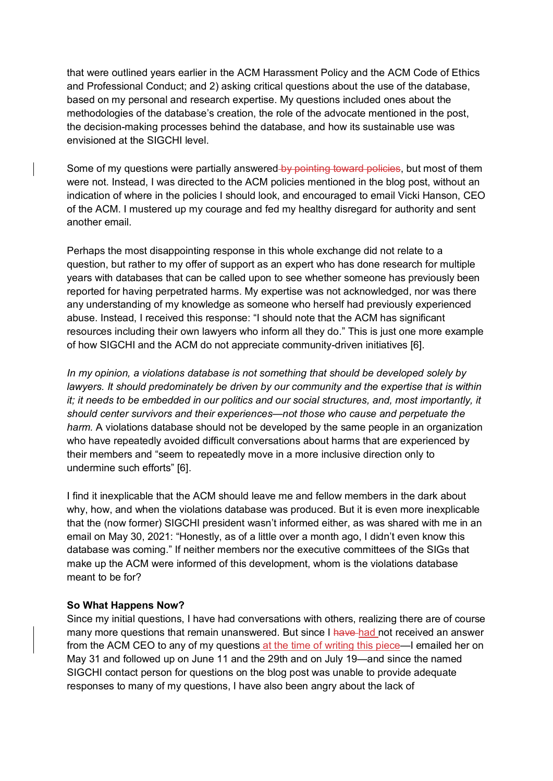that were outlined years earlier in the ACM Harassment Policy and the ACM Code of Ethics and Professional Conduct; and 2) asking critical questions about the use of the database, based on my personal and research expertise. My questions included ones about the methodologies of the database's creation, the role of the advocate mentioned in the post, the decision-making processes behind the database, and how its sustainable use was envisioned at the SIGCHI level.

Some of my questions were partially answered by pointing toward policies, but most of them were not. Instead, I was directed to the ACM policies mentioned in the blog post, without an indication of where in the policies I should look, and encouraged to email Vicki Hanson, CEO of the ACM. I mustered up my courage and fed my healthy disregard for authority and sent another email.

Perhaps the most disappointing response in this whole exchange did not relate to a question, but rather to my offer of support as an expert who has done research for multiple years with databases that can be called upon to see whether someone has previously been reported for having perpetrated harms. My expertise was not acknowledged, nor was there any understanding of my knowledge as someone who herself had previously experienced abuse. Instead, I received this response: "I should note that the ACM has significant resources including their own lawyers who inform all they do." This is just one more example of how SIGCHI and the ACM do not appreciate community-driven initiatives [6].

*In my opinion, a violations database is not something that should be developed solely by lawyers. It should predominately be driven by our community and the expertise that is within it; it needs to be embedded in our politics and our social structures, and, most importantly, it should center survivors and their experiences—not those who cause and perpetuate the harm.* A violations database should not be developed by the same people in an organization who have repeatedly avoided difficult conversations about harms that are experienced by their members and "seem to repeatedly move in a more inclusive direction only to undermine such efforts" [6].

I find it inexplicable that the ACM should leave me and fellow members in the dark about why, how, and when the violations database was produced. But it is even more inexplicable that the (now former) SIGCHI president wasn't informed either, as was shared with me in an email on May 30, 2021: "Honestly, as of a little over a month ago, I didn't even know this database was coming." If neither members nor the executive committees of the SIGs that make up the ACM were informed of this development, whom is the violations database meant to be for?

## **So What Happens Now?**

Since my initial questions, I have had conversations with others, realizing there are of course many more questions that remain unanswered. But since I have had not received an answer from the ACM CEO to any of my questions at the time of writing this piece—I emailed her on May 31 and followed up on June 11 and the 29th and on July 19—and since the named SIGCHI contact person for questions on the blog post was unable to provide adequate responses to many of my questions, I have also been angry about the lack of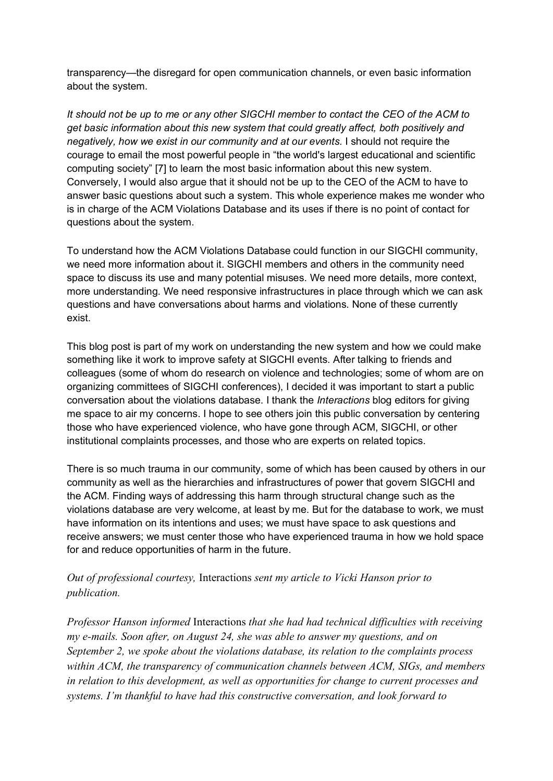transparency—the disregard for open communication channels, or even basic information about the system.

*It should not be up to me or any other SIGCHI member to contact the CEO of the ACM to get basic information about this new system that could greatly affect, both positively and negatively, how we exist in our community and at our events.* I should not require the courage to email the most powerful people in "the world's largest educational and scientific computing society" [7] to learn the most basic information about this new system. Conversely, I would also argue that it should not be up to the CEO of the ACM to have to answer basic questions about such a system. This whole experience makes me wonder who is in charge of the ACM Violations Database and its uses if there is no point of contact for questions about the system.

To understand how the ACM Violations Database could function in our SIGCHI community, we need more information about it. SIGCHI members and others in the community need space to discuss its use and many potential misuses. We need more details, more context, more understanding. We need responsive infrastructures in place through which we can ask questions and have conversations about harms and violations. None of these currently exist.

This blog post is part of my work on understanding the new system and how we could make something like it work to improve safety at SIGCHI events. After talking to friends and colleagues (some of whom do research on violence and technologies; some of whom are on organizing committees of SIGCHI conferences), I decided it was important to start a public conversation about the violations database. I thank the *Interactions* blog editors for giving me space to air my concerns. I hope to see others join this public conversation by centering those who have experienced violence, who have gone through ACM, SIGCHI, or other institutional complaints processes, and those who are experts on related topics.

There is so much trauma in our community, some of which has been caused by others in our community as well as the hierarchies and infrastructures of power that govern SIGCHI and the ACM. Finding ways of addressing this harm through structural change such as the violations database are very welcome, at least by me. But for the database to work, we must have information on its intentions and uses; we must have space to ask questions and receive answers; we must center those who have experienced trauma in how we hold space for and reduce opportunities of harm in the future.

## *Out of professional courtesy,* Interactions *sent my article to Vicki Hanson prior to publication.*

*Professor Hanson informed* Interactions *that she had had technical difficulties with receiving my e-mails. Soon after, on August 24, she was able to answer my questions, and on September 2, we spoke about the violations database, its relation to the complaints process within ACM, the transparency of communication channels between ACM, SIGs, and members in relation to this development, as well as opportunities for change to current processes and systems. I'm thankful to have had this constructive conversation, and look forward to*